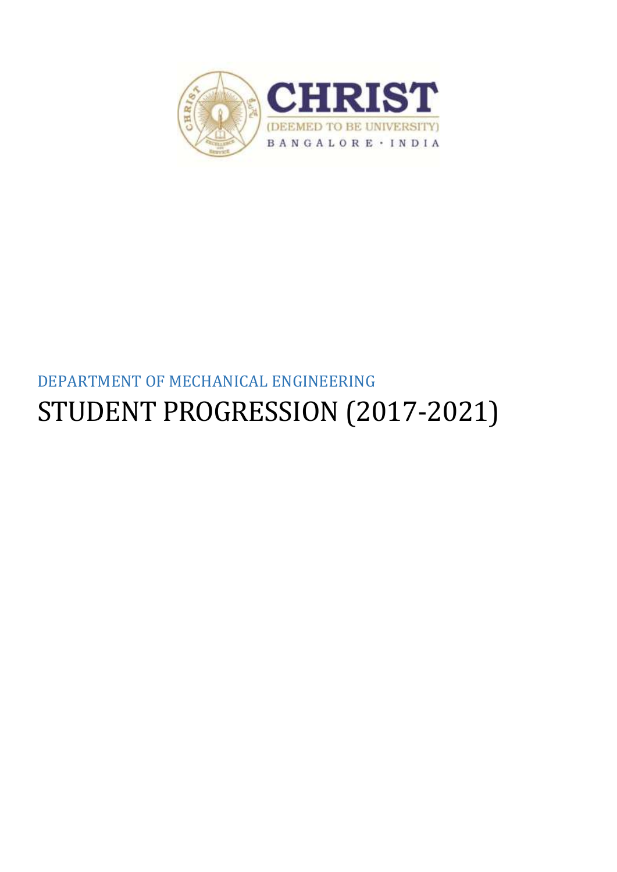

# DEPARTMENT OF MECHANICAL ENGINEERING STUDENT PROGRESSION (2017-2021)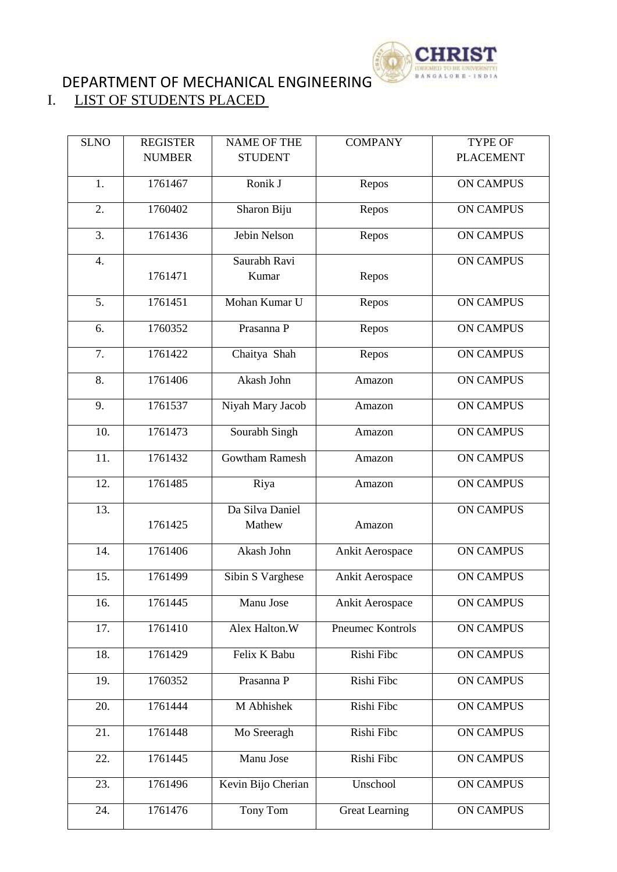

## DEPARTMENT OF MECHANICAL ENGINEERING

### I. LIST OF STUDENTS PLACED

| <b>SLNO</b>      | <b>REGISTER</b> | <b>NAME OF THE</b>        | <b>COMPANY</b>        | <b>TYPE OF</b>   |
|------------------|-----------------|---------------------------|-----------------------|------------------|
|                  | <b>NUMBER</b>   | <b>STUDENT</b>            |                       | <b>PLACEMENT</b> |
| 1.               | 1761467         | Ronik J                   | Repos                 | <b>ON CAMPUS</b> |
| 2.               | 1760402         | Sharon Biju               | Repos                 | <b>ON CAMPUS</b> |
| 3.               | 1761436         | Jebin Nelson              | Repos                 | <b>ON CAMPUS</b> |
| 4.               | 1761471         | Saurabh Ravi<br>Kumar     | Repos                 | <b>ON CAMPUS</b> |
| $\overline{5}$ . | 1761451         | Mohan Kumar U             | Repos                 | <b>ON CAMPUS</b> |
| 6.               | 1760352         | Prasanna P                | Repos                 | <b>ON CAMPUS</b> |
| 7.               | 1761422         | Chaitya Shah              | Repos                 | <b>ON CAMPUS</b> |
| 8.               | 1761406         | Akash John                | Amazon                | <b>ON CAMPUS</b> |
| 9.               | 1761537         | Niyah Mary Jacob          | Amazon                | <b>ON CAMPUS</b> |
| 10.              | 1761473         | Sourabh Singh             | Amazon                | <b>ON CAMPUS</b> |
| 11.              | 1761432         | <b>Gowtham Ramesh</b>     | Amazon                | <b>ON CAMPUS</b> |
| 12.              | 1761485         | Riya                      | Amazon                | <b>ON CAMPUS</b> |
| 13.              | 1761425         | Da Silva Daniel<br>Mathew | Amazon                | <b>ON CAMPUS</b> |
| 14.              | 1761406         | Akash John                | Ankit Aerospace       | <b>ON CAMPUS</b> |
| 15.              | 1761499         | Sibin S Varghese          | Ankit Aerospace       | <b>ON CAMPUS</b> |
| 16.              | 1761445         | Manu Jose                 | Ankit Aerospace       | <b>ON CAMPUS</b> |
| 17.              | 1761410         | Alex Halton.W             | Pneumec Kontrols      | <b>ON CAMPUS</b> |
| 18.              | 1761429         | Felix K Babu              | Rishi Fibc            | <b>ON CAMPUS</b> |
| 19.              | 1760352         | Prasanna P                | Rishi Fibc            | <b>ON CAMPUS</b> |
| 20.              | 1761444         | M Abhishek                | Rishi Fibc            | <b>ON CAMPUS</b> |
| 21.              | 1761448         | Mo Sreeragh               | Rishi Fibc            | <b>ON CAMPUS</b> |
| 22.              | 1761445         | Manu Jose                 | Rishi Fibc            | <b>ON CAMPUS</b> |
| 23.              | 1761496         | Kevin Bijo Cherian        | Unschool              | <b>ON CAMPUS</b> |
| 24.              | 1761476         | Tony Tom                  | <b>Great Learning</b> | <b>ON CAMPUS</b> |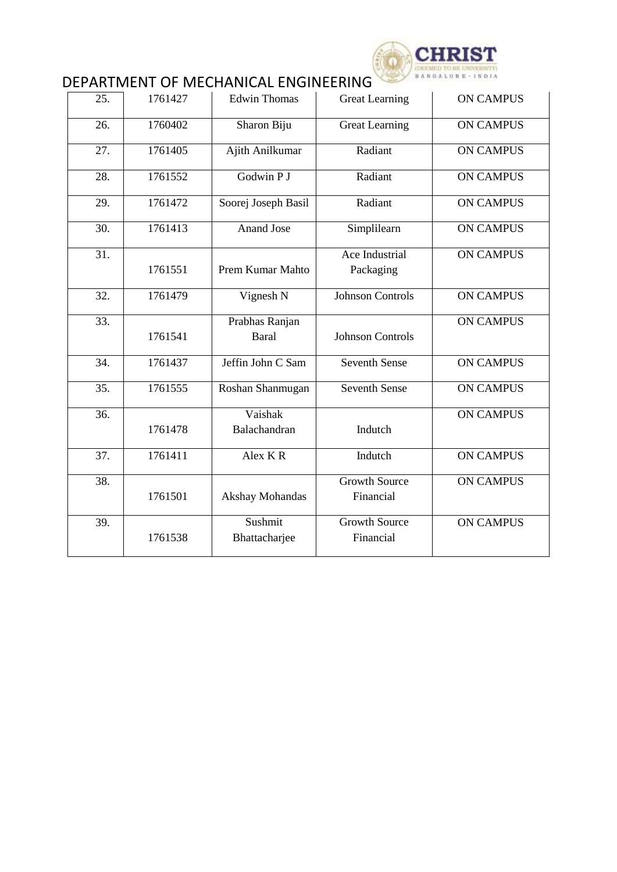

## DEPARTMENT OF MECHANICAL ENGINEERING

| 25.               | 1761427 | <b>Edwin Thomas</b>            | <b>Great Learning</b>             | <b>ON CAMPUS</b> |
|-------------------|---------|--------------------------------|-----------------------------------|------------------|
| 26.               | 1760402 | Sharon Biju                    | <b>Great Learning</b>             | <b>ON CAMPUS</b> |
| 27.               | 1761405 | Ajith Anilkumar                | Radiant                           | <b>ON CAMPUS</b> |
| 28.               | 1761552 | Godwin P J                     | Radiant                           | <b>ON CAMPUS</b> |
| 29.               | 1761472 | Soorej Joseph Basil            | Radiant                           | <b>ON CAMPUS</b> |
| 30.               | 1761413 | <b>Anand Jose</b>              | Simplilearn                       | <b>ON CAMPUS</b> |
| 31.               | 1761551 | <b>Prem Kumar Mahto</b>        | Ace Industrial<br>Packaging       | <b>ON CAMPUS</b> |
| 32.               | 1761479 | Vignesh N                      | Johnson Controls                  | <b>ON CAMPUS</b> |
| 33.               | 1761541 | Prabhas Ranjan<br><b>Baral</b> | <b>Johnson Controls</b>           | <b>ON CAMPUS</b> |
| 34.               | 1761437 | Jeffin John C Sam              | <b>Seventh Sense</b>              | <b>ON CAMPUS</b> |
| $\overline{35}$ . | 1761555 | Roshan Shanmugan               | <b>Seventh Sense</b>              | <b>ON CAMPUS</b> |
| 36.               | 1761478 | Vaishak<br>Balachandran        | Indutch                           | <b>ON CAMPUS</b> |
| 37.               | 1761411 | Alex KR                        | Indutch                           | <b>ON CAMPUS</b> |
| 38.               | 1761501 | Akshay Mohandas                | <b>Growth Source</b><br>Financial | <b>ON CAMPUS</b> |
| 39.               | 1761538 | Sushmit<br>Bhattacharjee       | <b>Growth Source</b><br>Financial | <b>ON CAMPUS</b> |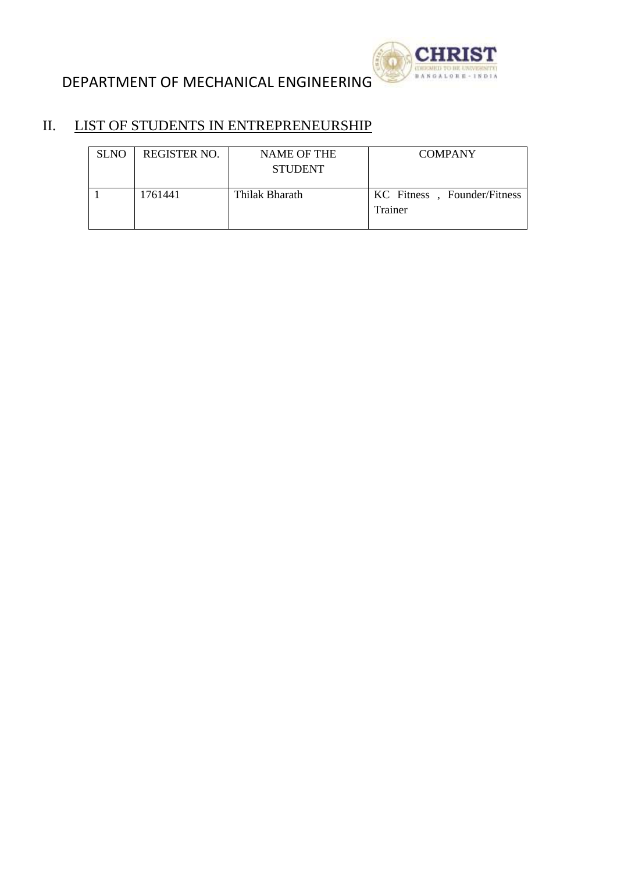



#### II. LIST OF STUDENTS IN ENTREPRENEURSHIP

| <b>SLNO</b> | REGISTER NO. | <b>NAME OF THE</b><br><b>STUDENT</b> | <b>COMPANY</b>                         |
|-------------|--------------|--------------------------------------|----------------------------------------|
|             | 1761441      | Thilak Bharath                       | KC Fitness, Founder/Fitness<br>Trainer |